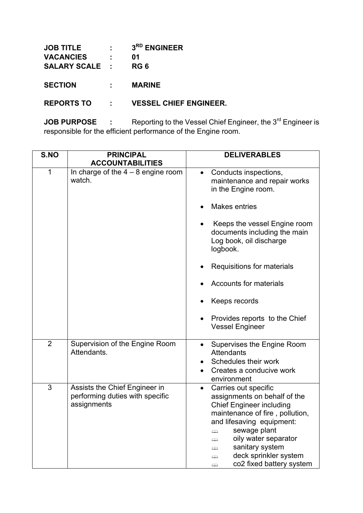| <b>JOB TITLE</b>      | $\mathbf{L}$ | 3 <sup>RD</sup> ENGINEER      |
|-----------------------|--------------|-------------------------------|
| <b>VACANCIES</b>      | ÷            | 01                            |
| <b>SALARY SCALE :</b> |              | RG 6                          |
|                       |              |                               |
| <b>SECTION</b>        |              | <b>MARINE</b>                 |
|                       |              |                               |
| <b>REPORTS TO</b>     |              | <b>VESSEL CHIEF ENGINEER.</b> |

**JOB PURPOSE** : Reporting to the Vessel Chief Engineer, the 3<sup>rd</sup> Engineer is responsible for the efficient performance of the Engine room.

| S.NO           | <b>PRINCIPAL</b><br><b>ACCOUNTABILITIES</b>                                     | <b>DELIVERABLES</b>                                                                                                                                                                                                                                                                                                                                                 |
|----------------|---------------------------------------------------------------------------------|---------------------------------------------------------------------------------------------------------------------------------------------------------------------------------------------------------------------------------------------------------------------------------------------------------------------------------------------------------------------|
| $\mathbf 1$    | In charge of the $4 - 8$ engine room<br>watch.                                  | Conducts inspections,<br>$\bullet$<br>maintenance and repair works<br>in the Engine room.<br><b>Makes entries</b><br>Keeps the vessel Engine room<br>documents including the main<br>Log book, oil discharge<br>logbook.<br>Requisitions for materials<br><b>Accounts for materials</b><br>Keeps records<br>Provides reports to the Chief<br><b>Vessel Engineer</b> |
| $\overline{2}$ | Supervision of the Engine Room<br>Attendants.                                   | Supervises the Engine Room<br>$\bullet$<br>Attendants<br>Schedules their work<br>Creates a conducive work<br>environment                                                                                                                                                                                                                                            |
| 3              | Assists the Chief Engineer in<br>performing duties with specific<br>assignments | Carries out specific<br>$\bullet$<br>assignments on behalf of the<br><b>Chief Engineer including</b><br>maintenance of fire, pollution,<br>and lifesaving equipment:<br>sewage plant<br>⇔<br>oily water separator<br>⇔<br>sanitary system<br>⇔<br>deck sprinkler system<br>⇔<br>co2 fixed battery system<br>⇔                                                       |